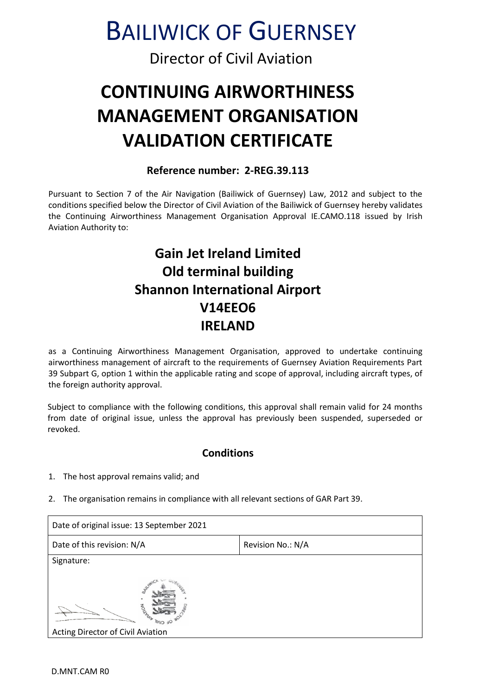# BAILIWICK OF GUERNSEY

### Director of Civil Aviation

## **CONTINUING AIRWORTHINESS MANAGEMENT ORGANISATION VALIDATION CERTIFICATE**

#### **Reference number: 2-REG.39.113**

Pursuant to Section 7 of the Air Navigation (Bailiwick of Guernsey) Law, 2012 and subject to the conditions specified below the Director of Civil Aviation of the Bailiwick of Guernsey hereby validates the Continuing Airworthiness Management Organisation Approval IE.CAMO.118 issued by Irish Aviation Authority to:

## **Gain Jet Ireland Limited Old terminal building Shannon International Airport V14EEO6 IRELAND**

as a Continuing Airworthiness Management Organisation, approved to undertake continuing airworthiness management of aircraft to the requirements of Guernsey Aviation Requirements Part 39 Subpart G, option 1 within the applicable rating and scope of approval, including aircraft types, of the foreign authority approval.

Subject to compliance with the following conditions, this approval shall remain valid for 24 months from date of original issue, unless the approval has previously been suspended, superseded or revoked.

#### **Conditions**

- 1. The host approval remains valid; and
- 2. The organisation remains in compliance with all relevant sections of GAR Part 39.

| Date of original issue: 13 September 2021           |                   |
|-----------------------------------------------------|-------------------|
| Date of this revision: N/A                          | Revision No.: N/A |
| Signature:                                          |                   |
| <b>MARITAL</b><br>Acting Director of Civil Aviation |                   |